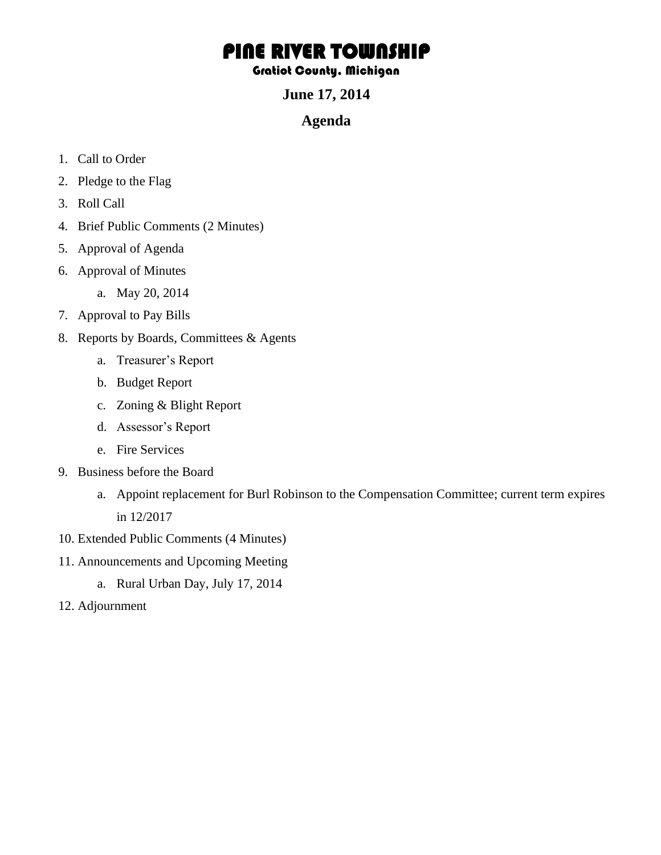## PINE RIVER TOWNSHIP

## Gratiot County, Michigan

**June 17, 2014** 

## **Agenda**

- 1. Call to Order
- 2. Pledge to the Flag
- 3. Roll Call
- 4. Brief Public Comments (2 Minutes)
- 5. Approval of Agenda
- 6. Approval of Minutes
	- a. May 20, 2014
- 7. Approval to Pay Bills
- 8. Reports by Boards, Committees & Agents
	- a. Treasurer's Report
	- b. Budget Report
	- c. Zoning & Blight Report
	- d. Assessor's Report
	- e. Fire Services
- 9. Business before the Board
	- a. Appoint replacement for Burl Robinson to the Compensation Committee; current term expires in 12/2017
- 10. Extended Public Comments (4 Minutes)
- 11. Announcements and Upcoming Meeting
	- a. Rural Urban Day, July 17, 2014
- 12. Adjournment